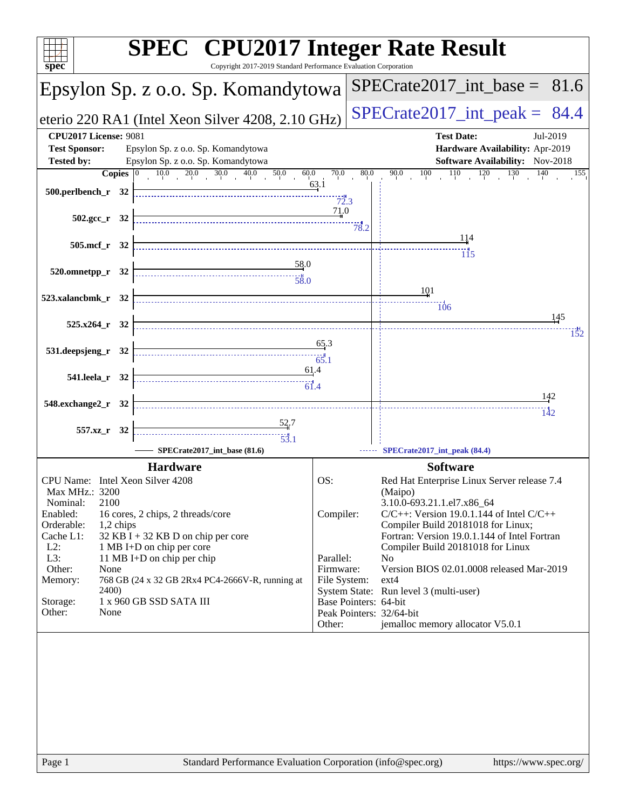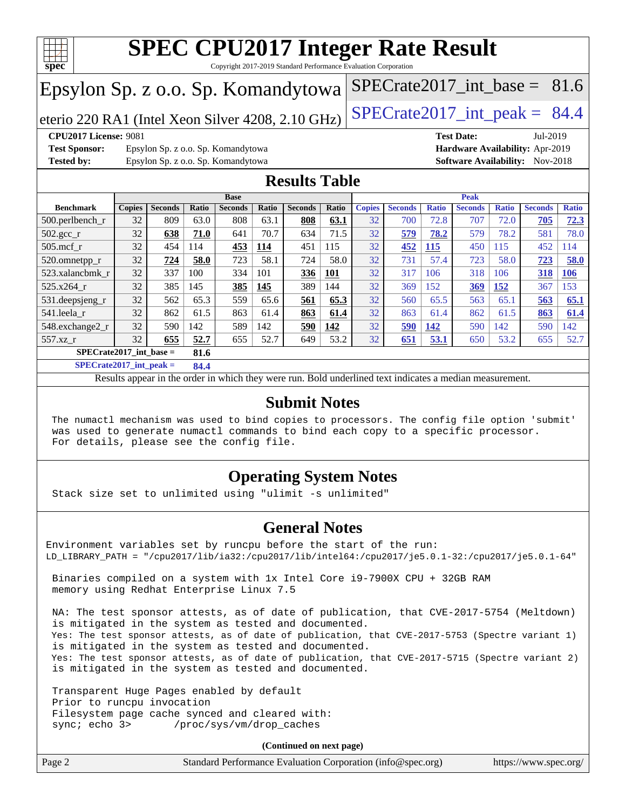

Copyright 2017-2019 Standard Performance Evaluation Corporation

## Epsylon Sp. z o.o. Sp. Komandytowa

eterio 220 RA1 (Intel Xeon Silver 4208, 2.10 GHz) SPECrate  $2017$ \_int\_peak = 84.4

SPECrate2017 int\_base =  $81.6$ 

**[CPU2017 License:](http://www.spec.org/auto/cpu2017/Docs/result-fields.html#CPU2017License)** 9081 **[Test Date:](http://www.spec.org/auto/cpu2017/Docs/result-fields.html#TestDate)** Jul-2019

**[Test Sponsor:](http://www.spec.org/auto/cpu2017/Docs/result-fields.html#TestSponsor)** Epsylon Sp. z o.o. Sp. Komandytowa **[Hardware Availability:](http://www.spec.org/auto/cpu2017/Docs/result-fields.html#HardwareAvailability)** Apr-2019 **[Tested by:](http://www.spec.org/auto/cpu2017/Docs/result-fields.html#Testedby)** Epsylon Sp. z o.o. Sp. Komandytowa **[Software Availability:](http://www.spec.org/auto/cpu2017/Docs/result-fields.html#SoftwareAvailability)** Nov-2018

### **[Results Table](http://www.spec.org/auto/cpu2017/Docs/result-fields.html#ResultsTable)**

|                                   | <b>Base</b>   |                |       |                |              | <b>Peak</b>    |            |               |                |              |                |              |                |              |
|-----------------------------------|---------------|----------------|-------|----------------|--------------|----------------|------------|---------------|----------------|--------------|----------------|--------------|----------------|--------------|
| <b>Benchmark</b>                  | <b>Copies</b> | <b>Seconds</b> | Ratio | <b>Seconds</b> | <b>Ratio</b> | <b>Seconds</b> | Ratio      | <b>Copies</b> | <b>Seconds</b> | <b>Ratio</b> | <b>Seconds</b> | <b>Ratio</b> | <b>Seconds</b> | <b>Ratio</b> |
| 500.perlbench r                   | 32            | 809            | 63.0  | 808            | 63.1         | 808            | 63.1       | 32            | 700            | 72.8         | 707            | 72.0         | 705            | 72.3         |
| 502.gcc_r                         | 32            | 638            | 71.0  | 641            | 70.7         | 634            | 71.5       | 32            | 579            | 78.2         | 579            | 78.2         | 581            | 78.0         |
| $505$ .mcf r                      | 32            | 454            | 114   | 453            | 114          | 451            | 115        | 32            | 452            | <b>115</b>   | 450            | 115          | 452            | 114          |
| 520.omnetpp_r                     | 32            | 724            | 58.0  | 723            | 58.1         | 724            | 58.0       | 32            | 731            | 57.4         | 723            | 58.0         | 723            | 58.0         |
| 523.xalancbmk r                   | 32            | 337            | 100   | 334            | 101          | 336            | <b>101</b> | 32            | 317            | 106          | 318            | 106          | 318            | <b>106</b>   |
| 525.x264 r                        | 32            | 385            | 145   | 385            | 145          | 389            | 144        | 32            | 369            | 152          | 369            | 152          | 367            | 153          |
| 531.deepsjeng_r                   | 32            | 562            | 65.3  | 559            | 65.6         | 561            | 65.3       | 32            | 560            | 65.5         | 563            | 65.1         | 563            | 65.1         |
| 541.leela r                       | 32            | 862            | 61.5  | 863            | 61.4         | 863            | 61.4       | 32            | 863            | 61.4         | 862            | 61.5         | 863            | 61.4         |
| 548.exchange2 r                   | 32            | 590            | 142   | 589            | 142          | 590            | 142        | 32            | 590            | 142          | 590            | 142          | 590            | 142          |
| $557.xz$ r                        | 32            | 655            | 52.7  | 655            | 52.7         | 649            | 53.2       | 32            | 651            | 53.1         | 650            | 53.2         | 655            | 52.7         |
| $SPECrate2017$ int base =<br>81.6 |               |                |       |                |              |                |            |               |                |              |                |              |                |              |

**[SPECrate2017\\_int\\_peak =](http://www.spec.org/auto/cpu2017/Docs/result-fields.html#SPECrate2017intpeak) 84.4**

Results appear in the [order in which they were run.](http://www.spec.org/auto/cpu2017/Docs/result-fields.html#RunOrder) Bold underlined text [indicates a median measurement.](http://www.spec.org/auto/cpu2017/Docs/result-fields.html#Median)

### **[Submit Notes](http://www.spec.org/auto/cpu2017/Docs/result-fields.html#SubmitNotes)**

 The numactl mechanism was used to bind copies to processors. The config file option 'submit' was used to generate numactl commands to bind each copy to a specific processor. For details, please see the config file.

### **[Operating System Notes](http://www.spec.org/auto/cpu2017/Docs/result-fields.html#OperatingSystemNotes)**

Stack size set to unlimited using "ulimit -s unlimited"

### **[General Notes](http://www.spec.org/auto/cpu2017/Docs/result-fields.html#GeneralNotes)**

Environment variables set by runcpu before the start of the run: LD\_LIBRARY\_PATH = "/cpu2017/lib/ia32:/cpu2017/lib/intel64:/cpu2017/je5.0.1-32:/cpu2017/je5.0.1-64"

 Binaries compiled on a system with 1x Intel Core i9-7900X CPU + 32GB RAM memory using Redhat Enterprise Linux 7.5

 NA: The test sponsor attests, as of date of publication, that CVE-2017-5754 (Meltdown) is mitigated in the system as tested and documented. Yes: The test sponsor attests, as of date of publication, that CVE-2017-5753 (Spectre variant 1) is mitigated in the system as tested and documented. Yes: The test sponsor attests, as of date of publication, that CVE-2017-5715 (Spectre variant 2) is mitigated in the system as tested and documented.

 Transparent Huge Pages enabled by default Prior to runcpu invocation Filesystem page cache synced and cleared with: sync; echo 3> /proc/sys/vm/drop\_caches

**(Continued on next page)**

| Page 2 | Standard Performance Evaluation Corporation (info@spec.org) | https://www.spec.org/ |
|--------|-------------------------------------------------------------|-----------------------|
|--------|-------------------------------------------------------------|-----------------------|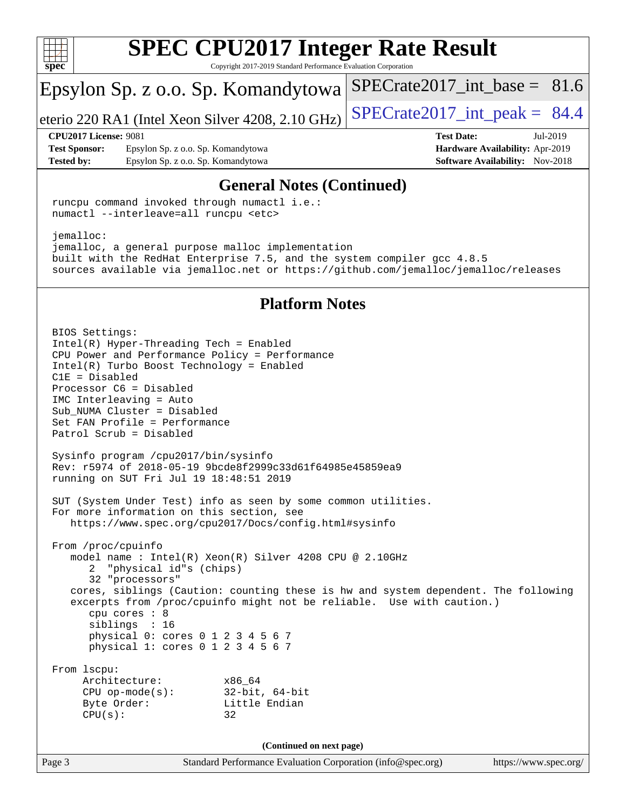

Copyright 2017-2019 Standard Performance Evaluation Corporation

# Epsylon Sp. z o.o. Sp. Komandytowa

eterio 220 RA1 (Intel Xeon Silver 4208, 2.10 GHz)  $\left|$  SPECrate 2017 int peak = 84.4

SPECrate2017 int\_base =  $81.6$ 

#### **[CPU2017 License:](http://www.spec.org/auto/cpu2017/Docs/result-fields.html#CPU2017License)** 9081 **[Test Date:](http://www.spec.org/auto/cpu2017/Docs/result-fields.html#TestDate)** Jul-2019

**[Test Sponsor:](http://www.spec.org/auto/cpu2017/Docs/result-fields.html#TestSponsor)** Epsylon Sp. z o.o. Sp. Komandytowa **[Hardware Availability:](http://www.spec.org/auto/cpu2017/Docs/result-fields.html#HardwareAvailability)** Apr-2019 **[Tested by:](http://www.spec.org/auto/cpu2017/Docs/result-fields.html#Testedby)** Epsylon Sp. z o.o. Sp. Komandytowa **[Software Availability:](http://www.spec.org/auto/cpu2017/Docs/result-fields.html#SoftwareAvailability)** Nov-2018

### **[General Notes \(Continued\)](http://www.spec.org/auto/cpu2017/Docs/result-fields.html#GeneralNotes)**

 runcpu command invoked through numactl i.e.: numactl --interleave=all runcpu <etc>

 jemalloc: jemalloc, a general purpose malloc implementation built with the RedHat Enterprise 7.5, and the system compiler gcc 4.8.5 sources available via jemalloc.net or <https://github.com/jemalloc/jemalloc/releases>

### **[Platform Notes](http://www.spec.org/auto/cpu2017/Docs/result-fields.html#PlatformNotes)**

Page 3 Standard Performance Evaluation Corporation [\(info@spec.org\)](mailto:info@spec.org) <https://www.spec.org/> BIOS Settings: Intel(R) Hyper-Threading Tech = Enabled CPU Power and Performance Policy = Performance Intel(R) Turbo Boost Technology = Enabled C1E = Disabled Processor C6 = Disabled IMC Interleaving = Auto Sub\_NUMA Cluster = Disabled Set FAN Profile = Performance Patrol Scrub = Disabled Sysinfo program /cpu2017/bin/sysinfo Rev: r5974 of 2018-05-19 9bcde8f2999c33d61f64985e45859ea9 running on SUT Fri Jul 19 18:48:51 2019 SUT (System Under Test) info as seen by some common utilities. For more information on this section, see <https://www.spec.org/cpu2017/Docs/config.html#sysinfo> From /proc/cpuinfo model name : Intel(R) Xeon(R) Silver 4208 CPU @ 2.10GHz 2 "physical id"s (chips) 32 "processors" cores, siblings (Caution: counting these is hw and system dependent. The following excerpts from /proc/cpuinfo might not be reliable. Use with caution.) cpu cores : 8 siblings : 16 physical 0: cores 0 1 2 3 4 5 6 7 physical 1: cores 0 1 2 3 4 5 6 7 From lscpu: Architecture: x86\_64 CPU op-mode(s): 32-bit, 64-bit Byte Order: Little Endian  $CPU(s):$  32 **(Continued on next page)**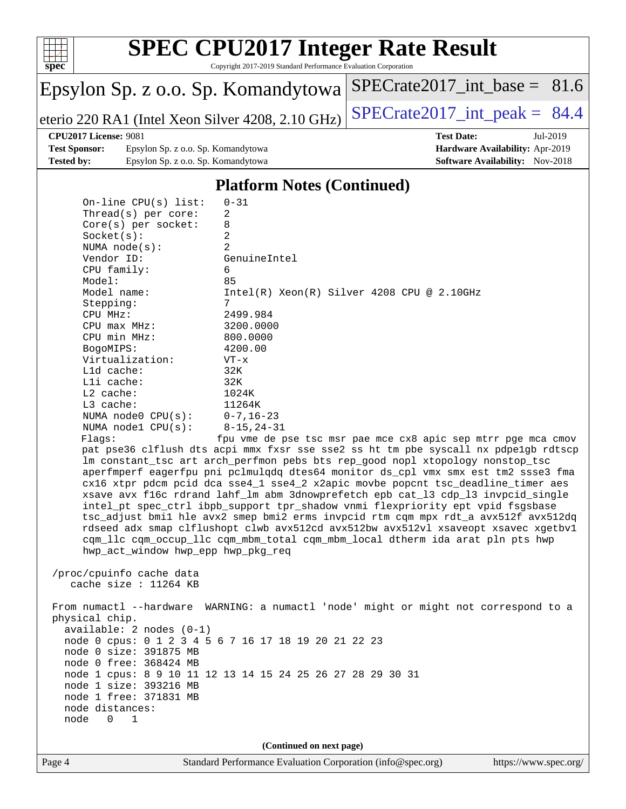

Copyright 2017-2019 Standard Performance Evaluation Corporation

# Epsylon Sp. z o.o. Sp. Komandytowa

eterio 220 RA1 (Intel Xeon Silver 4208, 2.10 GHz)  $\left|$  [SPECrate2017\\_int\\_peak =](http://www.spec.org/auto/cpu2017/Docs/result-fields.html#SPECrate2017intpeak) 84.4

[SPECrate2017\\_int\\_base =](http://www.spec.org/auto/cpu2017/Docs/result-fields.html#SPECrate2017intbase) 81.6

**[Test Sponsor:](http://www.spec.org/auto/cpu2017/Docs/result-fields.html#TestSponsor)** Epsylon Sp. z o.o. Sp. Komandytowa **[Hardware Availability:](http://www.spec.org/auto/cpu2017/Docs/result-fields.html#HardwareAvailability)** Apr-2019 **[Tested by:](http://www.spec.org/auto/cpu2017/Docs/result-fields.html#Testedby)** Epsylon Sp. z o.o. Sp. Komandytowa **[Software Availability:](http://www.spec.org/auto/cpu2017/Docs/result-fields.html#SoftwareAvailability)** Nov-2018

**[CPU2017 License:](http://www.spec.org/auto/cpu2017/Docs/result-fields.html#CPU2017License)** 9081 **[Test Date:](http://www.spec.org/auto/cpu2017/Docs/result-fields.html#TestDate)** Jul-2019

### **[Platform Notes \(Continued\)](http://www.spec.org/auto/cpu2017/Docs/result-fields.html#PlatformNotes)**

| On-line $CPU(s)$ list:             | $0 - 31$                                                                             |
|------------------------------------|--------------------------------------------------------------------------------------|
| Thread(s) per core:                | 2                                                                                    |
| $Core(s)$ per socket:              | 8                                                                                    |
| Socket(s):                         | 2                                                                                    |
| NUMA node(s):                      | $\overline{2}$                                                                       |
| Vendor ID:                         | GenuineIntel                                                                         |
| CPU family:                        | 6                                                                                    |
| Model:                             | 85                                                                                   |
| Model name:                        | $Intel(R) Xeon(R) Silver 4208 CPU @ 2.10GHz$                                         |
| Stepping:                          | 7                                                                                    |
| CPU MHz:                           | 2499.984                                                                             |
| $CPU$ $max$ $MHz$ :                | 3200.0000                                                                            |
| CPU min MHz:                       | 800.0000                                                                             |
| BogoMIPS:                          | 4200.00                                                                              |
| Virtualization:                    | $VT - x$                                                                             |
| L1d cache:                         | 32K                                                                                  |
| Lli cache:                         | 32K                                                                                  |
| $L2$ cache:                        | 1024K                                                                                |
| L3 cache:                          | 11264K                                                                               |
| NUMA $node0$ $CPU(s):$             | $0 - 7$ , 16–23                                                                      |
| NUMA nodel $CPU(s):$               | $8 - 15, 24 - 31$                                                                    |
| Flagg:                             | fpu vme de pse tsc msr pae mce cx8 apic sep mtrr pge mca cmov                        |
|                                    | pat pse36 clflush dts acpi mmx fxsr sse sse2 ss ht tm pbe syscall nx pdpelgb rdtscp  |
|                                    | lm constant_tsc art arch_perfmon pebs bts rep_good nopl xtopology nonstop_tsc        |
|                                    | aperfmperf eagerfpu pni pclmulqdq dtes64 monitor ds_cpl vmx smx est tm2 ssse3 fma    |
|                                    | cx16 xtpr pdcm pcid dca sse4_1 sse4_2 x2apic movbe popcnt tsc_deadline_timer aes     |
|                                    | xsave avx f16c rdrand lahf_lm abm 3dnowprefetch epb cat_13 cdp_13 invpcid_single     |
|                                    | intel_pt spec_ctrl ibpb_support tpr_shadow vnmi flexpriority ept vpid fsgsbase       |
|                                    | tsc_adjust bmil hle avx2 smep bmi2 erms invpcid rtm cqm mpx rdt_a avx512f avx512dq   |
|                                    | rdseed adx smap clflushopt clwb avx512cd avx512bw avx512vl xsaveopt xsavec xgetbvl   |
|                                    | cqm_llc cqm_occup_llc cqm_mbm_total cqm_mbm_local dtherm ida arat pln pts hwp        |
| hwp_act_window hwp_epp hwp_pkg_req |                                                                                      |
|                                    |                                                                                      |
| /proc/cpuinfo cache data           |                                                                                      |
| cache size : $11264$ KB            |                                                                                      |
|                                    |                                                                                      |
|                                    | From numactl --hardware WARNING: a numactl 'node' might or might not correspond to a |
| physical chip.                     |                                                                                      |
| $available: 2 nodes (0-1)$         |                                                                                      |
|                                    | node 0 cpus: 0 1 2 3 4 5 6 7 16 17 18 19 20 21 22 23                                 |
| node 0 size: 391875 MB             |                                                                                      |
| node 0 free: 368424 MB             |                                                                                      |
|                                    | node 1 cpus: 8 9 10 11 12 13 14 15 24 25 26 27 28 29 30 31                           |
| node 1 size: 393216 MB             |                                                                                      |
| node 1 free: 371831 MB             |                                                                                      |
| node distances:                    |                                                                                      |
| node<br>0<br>1                     |                                                                                      |
|                                    |                                                                                      |
|                                    | (Continued on next page)                                                             |
|                                    |                                                                                      |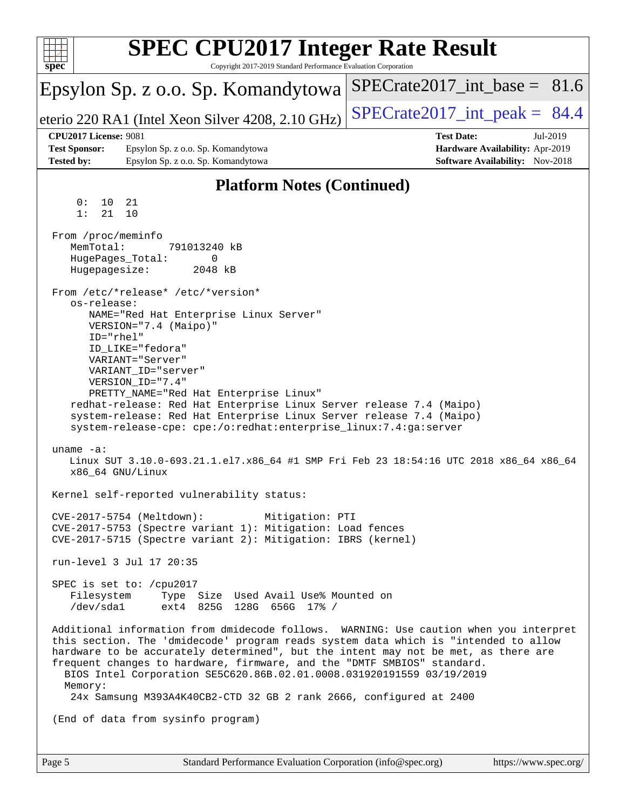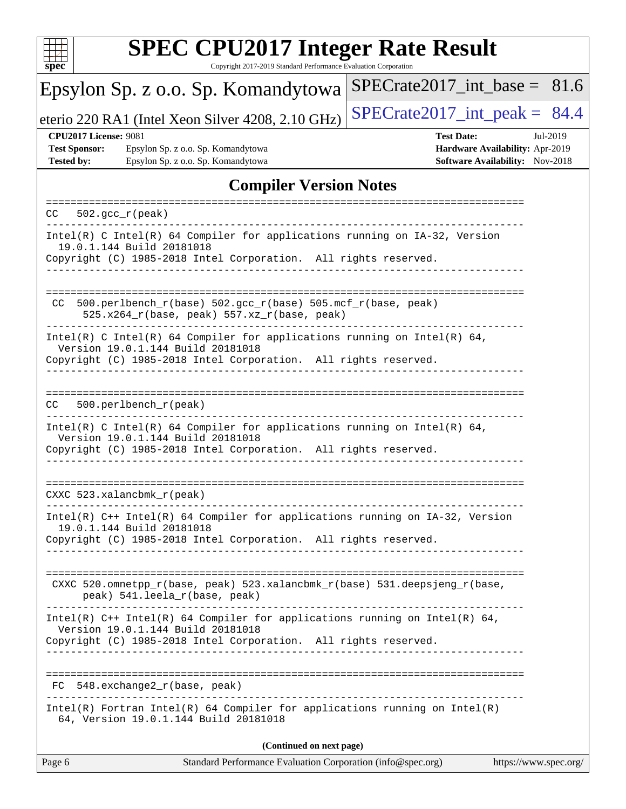

Copyright 2017-2019 Standard Performance Evaluation Corporation

#### Epsylon Sp. z o.o. Sp. Komandytowa eterio 220 RA1 (Intel Xeon Silver 4208, 2.10 GHz)  $\left|$  SPECrate 2017 int peak = 84.4 [SPECrate2017\\_int\\_base =](http://www.spec.org/auto/cpu2017/Docs/result-fields.html#SPECrate2017intbase) 81.6 **[CPU2017 License:](http://www.spec.org/auto/cpu2017/Docs/result-fields.html#CPU2017License)** 9081 **[Test Date:](http://www.spec.org/auto/cpu2017/Docs/result-fields.html#TestDate)** Jul-2019 **[Test Sponsor:](http://www.spec.org/auto/cpu2017/Docs/result-fields.html#TestSponsor)** Epsylon Sp. z o.o. Sp. Komandytowa **[Hardware Availability:](http://www.spec.org/auto/cpu2017/Docs/result-fields.html#HardwareAvailability)** Apr-2019 **[Tested by:](http://www.spec.org/auto/cpu2017/Docs/result-fields.html#Testedby)** Epsylon Sp. z o.o. Sp. Komandytowa **[Software Availability:](http://www.spec.org/auto/cpu2017/Docs/result-fields.html#SoftwareAvailability)** Nov-2018 **[Compiler Version Notes](http://www.spec.org/auto/cpu2017/Docs/result-fields.html#CompilerVersionNotes)** ============================================================================== CC 502.gcc\_r(peak) ------------------------------------------------------------------------------ Intel(R) C Intel(R) 64 Compiler for applications running on IA-32, Version 19.0.1.144 Build 20181018 Copyright (C) 1985-2018 Intel Corporation. All rights reserved. ------------------------------------------------------------------------------ ============================================================================== CC 500.perlbench\_r(base)  $502.\text{gcc_r}$ (base)  $505.\text{mcf_r}$ (base, peak) 525.x264\_r(base, peak) 557.xz\_r(base, peak) ------------------------------------------------------------------------------ Intel(R) C Intel(R) 64 Compiler for applications running on Intel(R)  $64$ , Version 19.0.1.144 Build 20181018 Copyright (C) 1985-2018 Intel Corporation. All rights reserved. ------------------------------------------------------------------------------ ============================================================================== CC 500.perlbench\_r(peak) ------------------------------------------------------------------------------ Intel(R) C Intel(R) 64 Compiler for applications running on Intel(R) 64, Version 19.0.1.144 Build 20181018 Copyright (C) 1985-2018 Intel Corporation. All rights reserved. ------------------------------------------------------------------------------ ============================================================================== CXXC 523.xalancbmk\_r(peak) ------------------------------------------------------------------------------ Intel(R) C++ Intel(R) 64 Compiler for applications running on IA-32, Version 19.0.1.144 Build 20181018 Copyright (C) 1985-2018 Intel Corporation. All rights reserved. ------------------------------------------------------------------------------ ============================================================================== CXXC 520.omnetpp\_r(base, peak) 523.xalancbmk\_r(base) 531.deepsjeng\_r(base, peak) 541.leela\_r(base, peak) ------------------------------------------------------------------------------ Intel(R) C++ Intel(R) 64 Compiler for applications running on Intel(R) 64, Version 19.0.1.144 Build 20181018 Copyright (C) 1985-2018 Intel Corporation. All rights reserved. ------------------------------------------------------------------------------ ============================================================================== FC 548.exchange2\_r(base, peak) ------------------------------------------------------------------------------ Intel(R) Fortran Intel(R) 64 Compiler for applications running on Intel(R) 64, Version 19.0.1.144 Build 20181018

**(Continued on next page)**

Page 6 Standard Performance Evaluation Corporation [\(info@spec.org\)](mailto:info@spec.org) <https://www.spec.org/>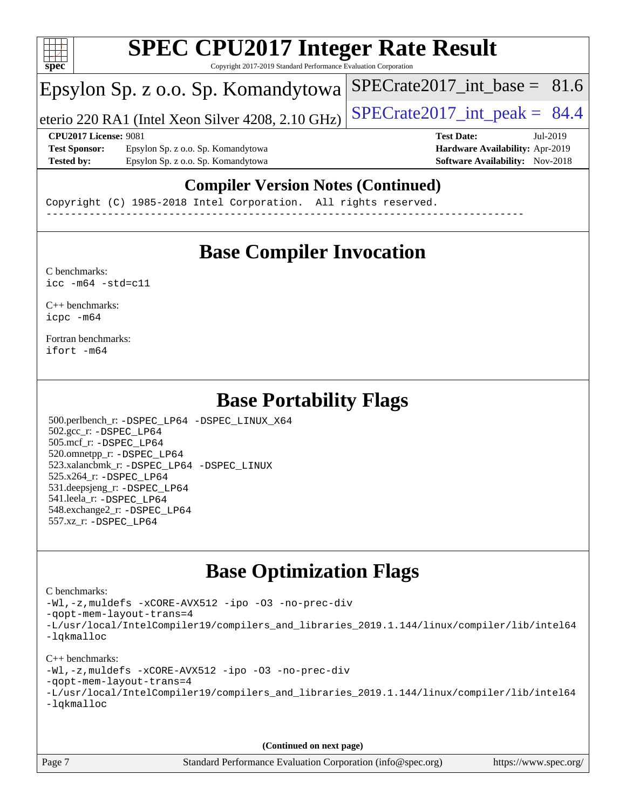

Copyright 2017-2019 Standard Performance Evaluation Corporation

# Epsylon Sp. z o.o. Sp. Komandytowa

eterio 220 RA1 (Intel Xeon Silver 4208, 2.10 GHz)  $\left|$  SPECrate 2017 int peak = 84.4

SPECrate2017 int\_base =  $81.6$ 

#### **[CPU2017 License:](http://www.spec.org/auto/cpu2017/Docs/result-fields.html#CPU2017License)** 9081 **[Test Date:](http://www.spec.org/auto/cpu2017/Docs/result-fields.html#TestDate)** Jul-2019

**[Test Sponsor:](http://www.spec.org/auto/cpu2017/Docs/result-fields.html#TestSponsor)** Epsylon Sp. z o.o. Sp. Komandytowa **[Hardware Availability:](http://www.spec.org/auto/cpu2017/Docs/result-fields.html#HardwareAvailability)** Apr-2019 **[Tested by:](http://www.spec.org/auto/cpu2017/Docs/result-fields.html#Testedby)** Epsylon Sp. z o.o. Sp. Komandytowa **[Software Availability:](http://www.spec.org/auto/cpu2017/Docs/result-fields.html#SoftwareAvailability)** Nov-2018

## **[Compiler Version Notes \(Continued\)](http://www.spec.org/auto/cpu2017/Docs/result-fields.html#CompilerVersionNotes)**

Copyright (C) 1985-2018 Intel Corporation. All rights reserved. ------------------------------------------------------------------------------

# **[Base Compiler Invocation](http://www.spec.org/auto/cpu2017/Docs/result-fields.html#BaseCompilerInvocation)**

[C benchmarks](http://www.spec.org/auto/cpu2017/Docs/result-fields.html#Cbenchmarks):  $\text{icc}$  -m64 -std=c11

[C++ benchmarks:](http://www.spec.org/auto/cpu2017/Docs/result-fields.html#CXXbenchmarks) [icpc -m64](http://www.spec.org/cpu2017/results/res2019q3/cpu2017-20190722-16237.flags.html#user_CXXbase_intel_icpc_64bit_4ecb2543ae3f1412ef961e0650ca070fec7b7afdcd6ed48761b84423119d1bf6bdf5cad15b44d48e7256388bc77273b966e5eb805aefd121eb22e9299b2ec9d9)

[Fortran benchmarks](http://www.spec.org/auto/cpu2017/Docs/result-fields.html#Fortranbenchmarks): [ifort -m64](http://www.spec.org/cpu2017/results/res2019q3/cpu2017-20190722-16237.flags.html#user_FCbase_intel_ifort_64bit_24f2bb282fbaeffd6157abe4f878425411749daecae9a33200eee2bee2fe76f3b89351d69a8130dd5949958ce389cf37ff59a95e7a40d588e8d3a57e0c3fd751)

# **[Base Portability Flags](http://www.spec.org/auto/cpu2017/Docs/result-fields.html#BasePortabilityFlags)**

 500.perlbench\_r: [-DSPEC\\_LP64](http://www.spec.org/cpu2017/results/res2019q3/cpu2017-20190722-16237.flags.html#b500.perlbench_r_basePORTABILITY_DSPEC_LP64) [-DSPEC\\_LINUX\\_X64](http://www.spec.org/cpu2017/results/res2019q3/cpu2017-20190722-16237.flags.html#b500.perlbench_r_baseCPORTABILITY_DSPEC_LINUX_X64) 502.gcc\_r: [-DSPEC\\_LP64](http://www.spec.org/cpu2017/results/res2019q3/cpu2017-20190722-16237.flags.html#suite_basePORTABILITY502_gcc_r_DSPEC_LP64) 505.mcf\_r: [-DSPEC\\_LP64](http://www.spec.org/cpu2017/results/res2019q3/cpu2017-20190722-16237.flags.html#suite_basePORTABILITY505_mcf_r_DSPEC_LP64) 520.omnetpp\_r: [-DSPEC\\_LP64](http://www.spec.org/cpu2017/results/res2019q3/cpu2017-20190722-16237.flags.html#suite_basePORTABILITY520_omnetpp_r_DSPEC_LP64) 523.xalancbmk\_r: [-DSPEC\\_LP64](http://www.spec.org/cpu2017/results/res2019q3/cpu2017-20190722-16237.flags.html#suite_basePORTABILITY523_xalancbmk_r_DSPEC_LP64) [-DSPEC\\_LINUX](http://www.spec.org/cpu2017/results/res2019q3/cpu2017-20190722-16237.flags.html#b523.xalancbmk_r_baseCXXPORTABILITY_DSPEC_LINUX) 525.x264\_r: [-DSPEC\\_LP64](http://www.spec.org/cpu2017/results/res2019q3/cpu2017-20190722-16237.flags.html#suite_basePORTABILITY525_x264_r_DSPEC_LP64) 531.deepsjeng\_r: [-DSPEC\\_LP64](http://www.spec.org/cpu2017/results/res2019q3/cpu2017-20190722-16237.flags.html#suite_basePORTABILITY531_deepsjeng_r_DSPEC_LP64) 541.leela\_r: [-DSPEC\\_LP64](http://www.spec.org/cpu2017/results/res2019q3/cpu2017-20190722-16237.flags.html#suite_basePORTABILITY541_leela_r_DSPEC_LP64) 548.exchange2\_r: [-DSPEC\\_LP64](http://www.spec.org/cpu2017/results/res2019q3/cpu2017-20190722-16237.flags.html#suite_basePORTABILITY548_exchange2_r_DSPEC_LP64) 557.xz\_r: [-DSPEC\\_LP64](http://www.spec.org/cpu2017/results/res2019q3/cpu2017-20190722-16237.flags.html#suite_basePORTABILITY557_xz_r_DSPEC_LP64)

# **[Base Optimization Flags](http://www.spec.org/auto/cpu2017/Docs/result-fields.html#BaseOptimizationFlags)**

#### [C benchmarks](http://www.spec.org/auto/cpu2017/Docs/result-fields.html#Cbenchmarks):

[-Wl,-z,muldefs](http://www.spec.org/cpu2017/results/res2019q3/cpu2017-20190722-16237.flags.html#user_CCbase_link_force_multiple1_b4cbdb97b34bdee9ceefcfe54f4c8ea74255f0b02a4b23e853cdb0e18eb4525ac79b5a88067c842dd0ee6996c24547a27a4b99331201badda8798ef8a743f577) [-xCORE-AVX512](http://www.spec.org/cpu2017/results/res2019q3/cpu2017-20190722-16237.flags.html#user_CCbase_f-xCORE-AVX512) [-ipo](http://www.spec.org/cpu2017/results/res2019q3/cpu2017-20190722-16237.flags.html#user_CCbase_f-ipo) [-O3](http://www.spec.org/cpu2017/results/res2019q3/cpu2017-20190722-16237.flags.html#user_CCbase_f-O3) [-no-prec-div](http://www.spec.org/cpu2017/results/res2019q3/cpu2017-20190722-16237.flags.html#user_CCbase_f-no-prec-div) [-qopt-mem-layout-trans=4](http://www.spec.org/cpu2017/results/res2019q3/cpu2017-20190722-16237.flags.html#user_CCbase_f-qopt-mem-layout-trans_fa39e755916c150a61361b7846f310bcdf6f04e385ef281cadf3647acec3f0ae266d1a1d22d972a7087a248fd4e6ca390a3634700869573d231a252c784941a8) [-L/usr/local/IntelCompiler19/compilers\\_and\\_libraries\\_2019.1.144/linux/compiler/lib/intel64](http://www.spec.org/cpu2017/results/res2019q3/cpu2017-20190722-16237.flags.html#user_CCbase_qkmalloc_link_f25da0aa8cf9bced0533715046f0c2fbfb1a7191e3e496916672e09b4c388a884c4c7e4862cb529343da2264b43416df65c99fd1ddbf5dd13ae6d3130cf47881) [-lqkmalloc](http://www.spec.org/cpu2017/results/res2019q3/cpu2017-20190722-16237.flags.html#user_CCbase_qkmalloc_link_lib_79a818439969f771c6bc311cfd333c00fc099dad35c030f5aab9dda831713d2015205805422f83de8875488a2991c0a156aaa600e1f9138f8fc37004abc96dc5)

#### [C++ benchmarks](http://www.spec.org/auto/cpu2017/Docs/result-fields.html#CXXbenchmarks):

[-Wl,-z,muldefs](http://www.spec.org/cpu2017/results/res2019q3/cpu2017-20190722-16237.flags.html#user_CXXbase_link_force_multiple1_b4cbdb97b34bdee9ceefcfe54f4c8ea74255f0b02a4b23e853cdb0e18eb4525ac79b5a88067c842dd0ee6996c24547a27a4b99331201badda8798ef8a743f577) [-xCORE-AVX512](http://www.spec.org/cpu2017/results/res2019q3/cpu2017-20190722-16237.flags.html#user_CXXbase_f-xCORE-AVX512) [-ipo](http://www.spec.org/cpu2017/results/res2019q3/cpu2017-20190722-16237.flags.html#user_CXXbase_f-ipo) [-O3](http://www.spec.org/cpu2017/results/res2019q3/cpu2017-20190722-16237.flags.html#user_CXXbase_f-O3) [-no-prec-div](http://www.spec.org/cpu2017/results/res2019q3/cpu2017-20190722-16237.flags.html#user_CXXbase_f-no-prec-div)

[-qopt-mem-layout-trans=4](http://www.spec.org/cpu2017/results/res2019q3/cpu2017-20190722-16237.flags.html#user_CXXbase_f-qopt-mem-layout-trans_fa39e755916c150a61361b7846f310bcdf6f04e385ef281cadf3647acec3f0ae266d1a1d22d972a7087a248fd4e6ca390a3634700869573d231a252c784941a8)

|            | -L/usr/local/IntelCompiler19/compilers_and_libraries_2019.1.144/linux/compiler/lib/intel64 |  |  |  |
|------------|--------------------------------------------------------------------------------------------|--|--|--|
| -lqkmalloc |                                                                                            |  |  |  |

**(Continued on next page)**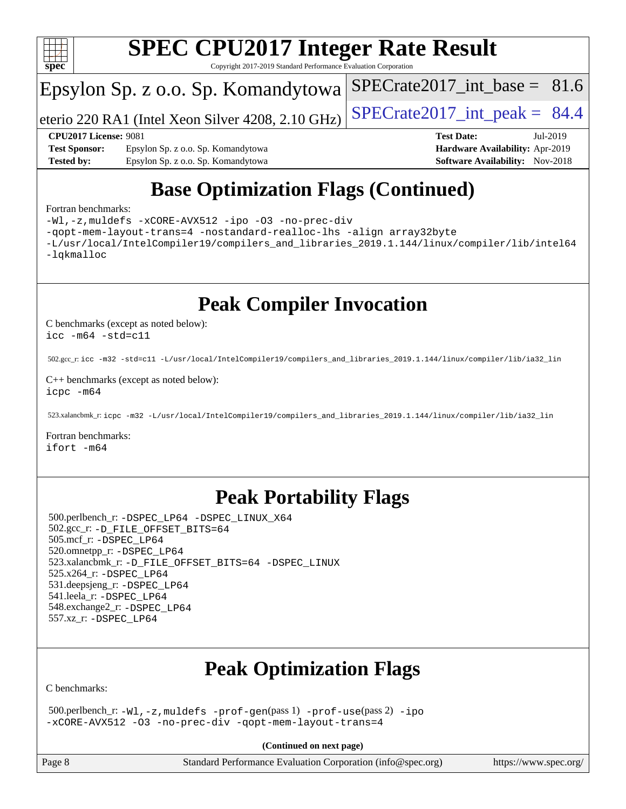

Copyright 2017-2019 Standard Performance Evaluation Corporation

# Epsylon Sp. z o.o. Sp. Komandytowa

eterio 220 RA1 (Intel Xeon Silver 4208, 2.10 GHz)  $\left|$  SPECrate 2017 int peak = 84.4

SPECrate2017 int\_base =  $81.6$ 

#### **[CPU2017 License:](http://www.spec.org/auto/cpu2017/Docs/result-fields.html#CPU2017License)** 9081 **[Test Date:](http://www.spec.org/auto/cpu2017/Docs/result-fields.html#TestDate)** Jul-2019

**[Test Sponsor:](http://www.spec.org/auto/cpu2017/Docs/result-fields.html#TestSponsor)** Epsylon Sp. z o.o. Sp. Komandytowa **[Hardware Availability:](http://www.spec.org/auto/cpu2017/Docs/result-fields.html#HardwareAvailability)** Apr-2019 **[Tested by:](http://www.spec.org/auto/cpu2017/Docs/result-fields.html#Testedby)** Epsylon Sp. z o.o. Sp. Komandytowa **[Software Availability:](http://www.spec.org/auto/cpu2017/Docs/result-fields.html#SoftwareAvailability)** Nov-2018

# **[Base Optimization Flags \(Continued\)](http://www.spec.org/auto/cpu2017/Docs/result-fields.html#BaseOptimizationFlags)**

#### [Fortran benchmarks](http://www.spec.org/auto/cpu2017/Docs/result-fields.html#Fortranbenchmarks):

[-Wl,-z,muldefs](http://www.spec.org/cpu2017/results/res2019q3/cpu2017-20190722-16237.flags.html#user_FCbase_link_force_multiple1_b4cbdb97b34bdee9ceefcfe54f4c8ea74255f0b02a4b23e853cdb0e18eb4525ac79b5a88067c842dd0ee6996c24547a27a4b99331201badda8798ef8a743f577) [-xCORE-AVX512](http://www.spec.org/cpu2017/results/res2019q3/cpu2017-20190722-16237.flags.html#user_FCbase_f-xCORE-AVX512) [-ipo](http://www.spec.org/cpu2017/results/res2019q3/cpu2017-20190722-16237.flags.html#user_FCbase_f-ipo) [-O3](http://www.spec.org/cpu2017/results/res2019q3/cpu2017-20190722-16237.flags.html#user_FCbase_f-O3) [-no-prec-div](http://www.spec.org/cpu2017/results/res2019q3/cpu2017-20190722-16237.flags.html#user_FCbase_f-no-prec-div) [-qopt-mem-layout-trans=4](http://www.spec.org/cpu2017/results/res2019q3/cpu2017-20190722-16237.flags.html#user_FCbase_f-qopt-mem-layout-trans_fa39e755916c150a61361b7846f310bcdf6f04e385ef281cadf3647acec3f0ae266d1a1d22d972a7087a248fd4e6ca390a3634700869573d231a252c784941a8) [-nostandard-realloc-lhs](http://www.spec.org/cpu2017/results/res2019q3/cpu2017-20190722-16237.flags.html#user_FCbase_f_2003_std_realloc_82b4557e90729c0f113870c07e44d33d6f5a304b4f63d4c15d2d0f1fab99f5daaed73bdb9275d9ae411527f28b936061aa8b9c8f2d63842963b95c9dd6426b8a) [-align array32byte](http://www.spec.org/cpu2017/results/res2019q3/cpu2017-20190722-16237.flags.html#user_FCbase_align_array32byte_b982fe038af199962ba9a80c053b8342c548c85b40b8e86eb3cc33dee0d7986a4af373ac2d51c3f7cf710a18d62fdce2948f201cd044323541f22fc0fffc51b6) [-L/usr/local/IntelCompiler19/compilers\\_and\\_libraries\\_2019.1.144/linux/compiler/lib/intel64](http://www.spec.org/cpu2017/results/res2019q3/cpu2017-20190722-16237.flags.html#user_FCbase_qkmalloc_link_f25da0aa8cf9bced0533715046f0c2fbfb1a7191e3e496916672e09b4c388a884c4c7e4862cb529343da2264b43416df65c99fd1ddbf5dd13ae6d3130cf47881) [-lqkmalloc](http://www.spec.org/cpu2017/results/res2019q3/cpu2017-20190722-16237.flags.html#user_FCbase_qkmalloc_link_lib_79a818439969f771c6bc311cfd333c00fc099dad35c030f5aab9dda831713d2015205805422f83de8875488a2991c0a156aaa600e1f9138f8fc37004abc96dc5)

**[Peak Compiler Invocation](http://www.spec.org/auto/cpu2017/Docs/result-fields.html#PeakCompilerInvocation)**

[C benchmarks \(except as noted below\)](http://www.spec.org/auto/cpu2017/Docs/result-fields.html#Cbenchmarksexceptasnotedbelow): [icc -m64 -std=c11](http://www.spec.org/cpu2017/results/res2019q3/cpu2017-20190722-16237.flags.html#user_CCpeak_intel_icc_64bit_c11_33ee0cdaae7deeeab2a9725423ba97205ce30f63b9926c2519791662299b76a0318f32ddfffdc46587804de3178b4f9328c46fa7c2b0cd779d7a61945c91cd35)

502.gcc\_r: [icc -m32 -std=c11 -L/usr/local/IntelCompiler19/compilers\\_and\\_libraries\\_2019.1.144/linux/compiler/lib/ia32\\_lin](http://www.spec.org/cpu2017/results/res2019q3/cpu2017-20190722-16237.flags.html#user_peakCCLD502_gcc_r_intel_icc_40453ff6bf9521e1d4c2d3e2fb99253a88fa516366d57fe908127cec2d2803e1a519020f7199618d366f5331d17d60a40bdca38a56a807895183dcecb671b0e5)

[C++ benchmarks \(except as noted below\)](http://www.spec.org/auto/cpu2017/Docs/result-fields.html#CXXbenchmarksexceptasnotedbelow): [icpc -m64](http://www.spec.org/cpu2017/results/res2019q3/cpu2017-20190722-16237.flags.html#user_CXXpeak_intel_icpc_64bit_4ecb2543ae3f1412ef961e0650ca070fec7b7afdcd6ed48761b84423119d1bf6bdf5cad15b44d48e7256388bc77273b966e5eb805aefd121eb22e9299b2ec9d9)

523.xalancbmk\_r: [icpc -m32 -L/usr/local/IntelCompiler19/compilers\\_and\\_libraries\\_2019.1.144/linux/compiler/lib/ia32\\_lin](http://www.spec.org/cpu2017/results/res2019q3/cpu2017-20190722-16237.flags.html#user_peakCXXLD523_xalancbmk_r_intel_icpc_da1545662a59c569b62a27824af614167f9a0289efc0155d279b219af3bd2ccb3c10a77eb36bcb264d681e48d9166bbcec9d21ef2c85e5a63a687a8887ddded7)

[Fortran benchmarks](http://www.spec.org/auto/cpu2017/Docs/result-fields.html#Fortranbenchmarks): [ifort -m64](http://www.spec.org/cpu2017/results/res2019q3/cpu2017-20190722-16237.flags.html#user_FCpeak_intel_ifort_64bit_24f2bb282fbaeffd6157abe4f878425411749daecae9a33200eee2bee2fe76f3b89351d69a8130dd5949958ce389cf37ff59a95e7a40d588e8d3a57e0c3fd751)

# **[Peak Portability Flags](http://www.spec.org/auto/cpu2017/Docs/result-fields.html#PeakPortabilityFlags)**

 500.perlbench\_r: [-DSPEC\\_LP64](http://www.spec.org/cpu2017/results/res2019q3/cpu2017-20190722-16237.flags.html#b500.perlbench_r_peakPORTABILITY_DSPEC_LP64) [-DSPEC\\_LINUX\\_X64](http://www.spec.org/cpu2017/results/res2019q3/cpu2017-20190722-16237.flags.html#b500.perlbench_r_peakCPORTABILITY_DSPEC_LINUX_X64) 502.gcc\_r: [-D\\_FILE\\_OFFSET\\_BITS=64](http://www.spec.org/cpu2017/results/res2019q3/cpu2017-20190722-16237.flags.html#user_peakPORTABILITY502_gcc_r_file_offset_bits_64_5ae949a99b284ddf4e95728d47cb0843d81b2eb0e18bdfe74bbf0f61d0b064f4bda2f10ea5eb90e1dcab0e84dbc592acfc5018bc955c18609f94ddb8d550002c) 505.mcf\_r: [-DSPEC\\_LP64](http://www.spec.org/cpu2017/results/res2019q3/cpu2017-20190722-16237.flags.html#suite_peakPORTABILITY505_mcf_r_DSPEC_LP64) 520.omnetpp\_r: [-DSPEC\\_LP64](http://www.spec.org/cpu2017/results/res2019q3/cpu2017-20190722-16237.flags.html#suite_peakPORTABILITY520_omnetpp_r_DSPEC_LP64) 523.xalancbmk\_r: [-D\\_FILE\\_OFFSET\\_BITS=64](http://www.spec.org/cpu2017/results/res2019q3/cpu2017-20190722-16237.flags.html#user_peakPORTABILITY523_xalancbmk_r_file_offset_bits_64_5ae949a99b284ddf4e95728d47cb0843d81b2eb0e18bdfe74bbf0f61d0b064f4bda2f10ea5eb90e1dcab0e84dbc592acfc5018bc955c18609f94ddb8d550002c) [-DSPEC\\_LINUX](http://www.spec.org/cpu2017/results/res2019q3/cpu2017-20190722-16237.flags.html#b523.xalancbmk_r_peakCXXPORTABILITY_DSPEC_LINUX) 525.x264\_r: [-DSPEC\\_LP64](http://www.spec.org/cpu2017/results/res2019q3/cpu2017-20190722-16237.flags.html#suite_peakPORTABILITY525_x264_r_DSPEC_LP64) 531.deepsjeng\_r: [-DSPEC\\_LP64](http://www.spec.org/cpu2017/results/res2019q3/cpu2017-20190722-16237.flags.html#suite_peakPORTABILITY531_deepsjeng_r_DSPEC_LP64) 541.leela\_r: [-DSPEC\\_LP64](http://www.spec.org/cpu2017/results/res2019q3/cpu2017-20190722-16237.flags.html#suite_peakPORTABILITY541_leela_r_DSPEC_LP64) 548.exchange2\_r: [-DSPEC\\_LP64](http://www.spec.org/cpu2017/results/res2019q3/cpu2017-20190722-16237.flags.html#suite_peakPORTABILITY548_exchange2_r_DSPEC_LP64) 557.xz\_r: [-DSPEC\\_LP64](http://www.spec.org/cpu2017/results/res2019q3/cpu2017-20190722-16237.flags.html#suite_peakPORTABILITY557_xz_r_DSPEC_LP64)

# **[Peak Optimization Flags](http://www.spec.org/auto/cpu2017/Docs/result-fields.html#PeakOptimizationFlags)**

[C benchmarks](http://www.spec.org/auto/cpu2017/Docs/result-fields.html#Cbenchmarks):

 500.perlbench\_r: [-Wl,-z,muldefs](http://www.spec.org/cpu2017/results/res2019q3/cpu2017-20190722-16237.flags.html#user_peakEXTRA_LDFLAGS500_perlbench_r_link_force_multiple1_b4cbdb97b34bdee9ceefcfe54f4c8ea74255f0b02a4b23e853cdb0e18eb4525ac79b5a88067c842dd0ee6996c24547a27a4b99331201badda8798ef8a743f577) [-prof-gen](http://www.spec.org/cpu2017/results/res2019q3/cpu2017-20190722-16237.flags.html#user_peakPASS1_CFLAGSPASS1_LDFLAGS500_perlbench_r_prof_gen_5aa4926d6013ddb2a31985c654b3eb18169fc0c6952a63635c234f711e6e63dd76e94ad52365559451ec499a2cdb89e4dc58ba4c67ef54ca681ffbe1461d6b36)(pass 1) [-prof-use](http://www.spec.org/cpu2017/results/res2019q3/cpu2017-20190722-16237.flags.html#user_peakPASS2_CFLAGSPASS2_LDFLAGS500_perlbench_r_prof_use_1a21ceae95f36a2b53c25747139a6c16ca95bd9def2a207b4f0849963b97e94f5260e30a0c64f4bb623698870e679ca08317ef8150905d41bd88c6f78df73f19)(pass 2) [-ipo](http://www.spec.org/cpu2017/results/res2019q3/cpu2017-20190722-16237.flags.html#user_peakPASS1_COPTIMIZEPASS2_COPTIMIZE500_perlbench_r_f-ipo) [-xCORE-AVX512](http://www.spec.org/cpu2017/results/res2019q3/cpu2017-20190722-16237.flags.html#user_peakPASS2_COPTIMIZE500_perlbench_r_f-xCORE-AVX512) [-O3](http://www.spec.org/cpu2017/results/res2019q3/cpu2017-20190722-16237.flags.html#user_peakPASS1_COPTIMIZEPASS2_COPTIMIZE500_perlbench_r_f-O3) [-no-prec-div](http://www.spec.org/cpu2017/results/res2019q3/cpu2017-20190722-16237.flags.html#user_peakPASS1_COPTIMIZEPASS2_COPTIMIZE500_perlbench_r_f-no-prec-div) [-qopt-mem-layout-trans=4](http://www.spec.org/cpu2017/results/res2019q3/cpu2017-20190722-16237.flags.html#user_peakPASS1_COPTIMIZEPASS2_COPTIMIZE500_perlbench_r_f-qopt-mem-layout-trans_fa39e755916c150a61361b7846f310bcdf6f04e385ef281cadf3647acec3f0ae266d1a1d22d972a7087a248fd4e6ca390a3634700869573d231a252c784941a8)

**(Continued on next page)**

Page 8 Standard Performance Evaluation Corporation [\(info@spec.org\)](mailto:info@spec.org) <https://www.spec.org/>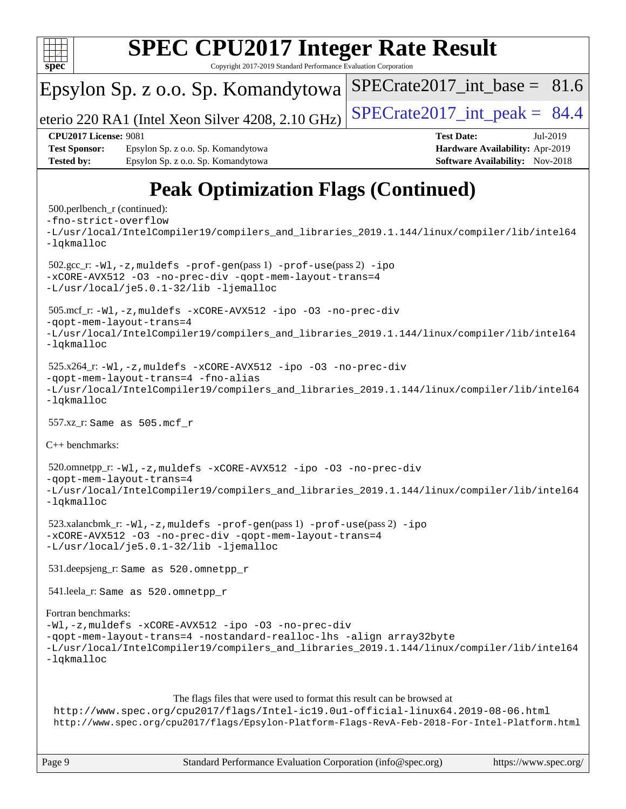

### Copyright 2017-2019 Standard Performance Evaluation Corporation Epsylon Sp. z o.o. Sp. Komandytowa eterio 220 RA1 (Intel Xeon Silver 4208, 2.10 GHz)  $\left|$  SPECrate 2017 int peak = 84.4 SPECrate2017 int\_base =  $81.6$ **[CPU2017 License:](http://www.spec.org/auto/cpu2017/Docs/result-fields.html#CPU2017License)** 9081 **[Test Date:](http://www.spec.org/auto/cpu2017/Docs/result-fields.html#TestDate)** Jul-2019 **[Test Sponsor:](http://www.spec.org/auto/cpu2017/Docs/result-fields.html#TestSponsor)** Epsylon Sp. z o.o. Sp. Komandytowa **[Hardware Availability:](http://www.spec.org/auto/cpu2017/Docs/result-fields.html#HardwareAvailability)** Apr-2019 **[Tested by:](http://www.spec.org/auto/cpu2017/Docs/result-fields.html#Testedby)** Epsylon Sp. z o.o. Sp. Komandytowa **[Software Availability:](http://www.spec.org/auto/cpu2017/Docs/result-fields.html#SoftwareAvailability)** Nov-2018 **[Peak Optimization Flags \(Continued\)](http://www.spec.org/auto/cpu2017/Docs/result-fields.html#PeakOptimizationFlags)** 500.perlbench\_r (continued): [-fno-strict-overflow](http://www.spec.org/cpu2017/results/res2019q3/cpu2017-20190722-16237.flags.html#user_peakEXTRA_OPTIMIZE500_perlbench_r_f-fno-strict-overflow) [-L/usr/local/IntelCompiler19/compilers\\_and\\_libraries\\_2019.1.144/linux/compiler/lib/intel64](http://www.spec.org/cpu2017/results/res2019q3/cpu2017-20190722-16237.flags.html#user_peakEXTRA_LIBS500_perlbench_r_qkmalloc_link_f25da0aa8cf9bced0533715046f0c2fbfb1a7191e3e496916672e09b4c388a884c4c7e4862cb529343da2264b43416df65c99fd1ddbf5dd13ae6d3130cf47881) [-lqkmalloc](http://www.spec.org/cpu2017/results/res2019q3/cpu2017-20190722-16237.flags.html#user_peakEXTRA_LIBS500_perlbench_r_qkmalloc_link_lib_79a818439969f771c6bc311cfd333c00fc099dad35c030f5aab9dda831713d2015205805422f83de8875488a2991c0a156aaa600e1f9138f8fc37004abc96dc5) 502.gcc\_r: [-Wl,-z,muldefs](http://www.spec.org/cpu2017/results/res2019q3/cpu2017-20190722-16237.flags.html#user_peakEXTRA_LDFLAGS502_gcc_r_link_force_multiple1_b4cbdb97b34bdee9ceefcfe54f4c8ea74255f0b02a4b23e853cdb0e18eb4525ac79b5a88067c842dd0ee6996c24547a27a4b99331201badda8798ef8a743f577) [-prof-gen](http://www.spec.org/cpu2017/results/res2019q3/cpu2017-20190722-16237.flags.html#user_peakPASS1_CFLAGSPASS1_LDFLAGS502_gcc_r_prof_gen_5aa4926d6013ddb2a31985c654b3eb18169fc0c6952a63635c234f711e6e63dd76e94ad52365559451ec499a2cdb89e4dc58ba4c67ef54ca681ffbe1461d6b36)(pass 1) [-prof-use](http://www.spec.org/cpu2017/results/res2019q3/cpu2017-20190722-16237.flags.html#user_peakPASS2_CFLAGSPASS2_LDFLAGS502_gcc_r_prof_use_1a21ceae95f36a2b53c25747139a6c16ca95bd9def2a207b4f0849963b97e94f5260e30a0c64f4bb623698870e679ca08317ef8150905d41bd88c6f78df73f19)(pass 2) [-ipo](http://www.spec.org/cpu2017/results/res2019q3/cpu2017-20190722-16237.flags.html#user_peakPASS1_COPTIMIZEPASS2_COPTIMIZE502_gcc_r_f-ipo) [-xCORE-AVX512](http://www.spec.org/cpu2017/results/res2019q3/cpu2017-20190722-16237.flags.html#user_peakPASS2_COPTIMIZE502_gcc_r_f-xCORE-AVX512) [-O3](http://www.spec.org/cpu2017/results/res2019q3/cpu2017-20190722-16237.flags.html#user_peakPASS1_COPTIMIZEPASS2_COPTIMIZE502_gcc_r_f-O3) [-no-prec-div](http://www.spec.org/cpu2017/results/res2019q3/cpu2017-20190722-16237.flags.html#user_peakPASS1_COPTIMIZEPASS2_COPTIMIZE502_gcc_r_f-no-prec-div) [-qopt-mem-layout-trans=4](http://www.spec.org/cpu2017/results/res2019q3/cpu2017-20190722-16237.flags.html#user_peakPASS1_COPTIMIZEPASS2_COPTIMIZE502_gcc_r_f-qopt-mem-layout-trans_fa39e755916c150a61361b7846f310bcdf6f04e385ef281cadf3647acec3f0ae266d1a1d22d972a7087a248fd4e6ca390a3634700869573d231a252c784941a8) [-L/usr/local/je5.0.1-32/lib](http://www.spec.org/cpu2017/results/res2019q3/cpu2017-20190722-16237.flags.html#user_peakEXTRA_LIBS502_gcc_r_jemalloc_link_path32_e29f22e8e6c17053bbc6a0971f5a9c01a601a06bb1a59df2084b77a2fe0a2995b64fd4256feaeea39eeba3aae142e96e2b2b0a28974019c0c0c88139a84f900a) [-ljemalloc](http://www.spec.org/cpu2017/results/res2019q3/cpu2017-20190722-16237.flags.html#user_peakEXTRA_LIBS502_gcc_r_jemalloc_link_lib_d1249b907c500fa1c0672f44f562e3d0f79738ae9e3c4a9c376d49f265a04b9c99b167ecedbf6711b3085be911c67ff61f150a17b3472be731631ba4d0471706) 505.mcf\_r: [-Wl,-z,muldefs](http://www.spec.org/cpu2017/results/res2019q3/cpu2017-20190722-16237.flags.html#user_peakEXTRA_LDFLAGS505_mcf_r_link_force_multiple1_b4cbdb97b34bdee9ceefcfe54f4c8ea74255f0b02a4b23e853cdb0e18eb4525ac79b5a88067c842dd0ee6996c24547a27a4b99331201badda8798ef8a743f577) [-xCORE-AVX512](http://www.spec.org/cpu2017/results/res2019q3/cpu2017-20190722-16237.flags.html#user_peakCOPTIMIZE505_mcf_r_f-xCORE-AVX512) [-ipo](http://www.spec.org/cpu2017/results/res2019q3/cpu2017-20190722-16237.flags.html#user_peakCOPTIMIZE505_mcf_r_f-ipo) [-O3](http://www.spec.org/cpu2017/results/res2019q3/cpu2017-20190722-16237.flags.html#user_peakCOPTIMIZE505_mcf_r_f-O3) [-no-prec-div](http://www.spec.org/cpu2017/results/res2019q3/cpu2017-20190722-16237.flags.html#user_peakCOPTIMIZE505_mcf_r_f-no-prec-div) [-qopt-mem-layout-trans=4](http://www.spec.org/cpu2017/results/res2019q3/cpu2017-20190722-16237.flags.html#user_peakCOPTIMIZE505_mcf_r_f-qopt-mem-layout-trans_fa39e755916c150a61361b7846f310bcdf6f04e385ef281cadf3647acec3f0ae266d1a1d22d972a7087a248fd4e6ca390a3634700869573d231a252c784941a8) [-L/usr/local/IntelCompiler19/compilers\\_and\\_libraries\\_2019.1.144/linux/compiler/lib/intel64](http://www.spec.org/cpu2017/results/res2019q3/cpu2017-20190722-16237.flags.html#user_peakEXTRA_LIBS505_mcf_r_qkmalloc_link_f25da0aa8cf9bced0533715046f0c2fbfb1a7191e3e496916672e09b4c388a884c4c7e4862cb529343da2264b43416df65c99fd1ddbf5dd13ae6d3130cf47881) [-lqkmalloc](http://www.spec.org/cpu2017/results/res2019q3/cpu2017-20190722-16237.flags.html#user_peakEXTRA_LIBS505_mcf_r_qkmalloc_link_lib_79a818439969f771c6bc311cfd333c00fc099dad35c030f5aab9dda831713d2015205805422f83de8875488a2991c0a156aaa600e1f9138f8fc37004abc96dc5) 525.x264\_r: [-Wl,-z,muldefs](http://www.spec.org/cpu2017/results/res2019q3/cpu2017-20190722-16237.flags.html#user_peakEXTRA_LDFLAGS525_x264_r_link_force_multiple1_b4cbdb97b34bdee9ceefcfe54f4c8ea74255f0b02a4b23e853cdb0e18eb4525ac79b5a88067c842dd0ee6996c24547a27a4b99331201badda8798ef8a743f577) [-xCORE-AVX512](http://www.spec.org/cpu2017/results/res2019q3/cpu2017-20190722-16237.flags.html#user_peakCOPTIMIZE525_x264_r_f-xCORE-AVX512) [-ipo](http://www.spec.org/cpu2017/results/res2019q3/cpu2017-20190722-16237.flags.html#user_peakCOPTIMIZE525_x264_r_f-ipo) [-O3](http://www.spec.org/cpu2017/results/res2019q3/cpu2017-20190722-16237.flags.html#user_peakCOPTIMIZE525_x264_r_f-O3) [-no-prec-div](http://www.spec.org/cpu2017/results/res2019q3/cpu2017-20190722-16237.flags.html#user_peakCOPTIMIZE525_x264_r_f-no-prec-div) [-qopt-mem-layout-trans=4](http://www.spec.org/cpu2017/results/res2019q3/cpu2017-20190722-16237.flags.html#user_peakCOPTIMIZE525_x264_r_f-qopt-mem-layout-trans_fa39e755916c150a61361b7846f310bcdf6f04e385ef281cadf3647acec3f0ae266d1a1d22d972a7087a248fd4e6ca390a3634700869573d231a252c784941a8) [-fno-alias](http://www.spec.org/cpu2017/results/res2019q3/cpu2017-20190722-16237.flags.html#user_peakEXTRA_OPTIMIZE525_x264_r_f-no-alias_77dbac10d91cbfe898fbf4a29d1b29b694089caa623bdd1baccc9957d4edbe8d106c0b357e2748a65b44fc9e83d78098bb898077f3fe92f9faf24f7bd4a07ed7) [-L/usr/local/IntelCompiler19/compilers\\_and\\_libraries\\_2019.1.144/linux/compiler/lib/intel64](http://www.spec.org/cpu2017/results/res2019q3/cpu2017-20190722-16237.flags.html#user_peakEXTRA_LIBS525_x264_r_qkmalloc_link_f25da0aa8cf9bced0533715046f0c2fbfb1a7191e3e496916672e09b4c388a884c4c7e4862cb529343da2264b43416df65c99fd1ddbf5dd13ae6d3130cf47881) [-lqkmalloc](http://www.spec.org/cpu2017/results/res2019q3/cpu2017-20190722-16237.flags.html#user_peakEXTRA_LIBS525_x264_r_qkmalloc_link_lib_79a818439969f771c6bc311cfd333c00fc099dad35c030f5aab9dda831713d2015205805422f83de8875488a2991c0a156aaa600e1f9138f8fc37004abc96dc5) 557.xz\_r: Same as 505.mcf\_r [C++ benchmarks:](http://www.spec.org/auto/cpu2017/Docs/result-fields.html#CXXbenchmarks) 520.omnetpp\_r: [-Wl,-z,muldefs](http://www.spec.org/cpu2017/results/res2019q3/cpu2017-20190722-16237.flags.html#user_peakEXTRA_LDFLAGS520_omnetpp_r_link_force_multiple1_b4cbdb97b34bdee9ceefcfe54f4c8ea74255f0b02a4b23e853cdb0e18eb4525ac79b5a88067c842dd0ee6996c24547a27a4b99331201badda8798ef8a743f577) [-xCORE-AVX512](http://www.spec.org/cpu2017/results/res2019q3/cpu2017-20190722-16237.flags.html#user_peakCXXOPTIMIZE520_omnetpp_r_f-xCORE-AVX512) [-ipo](http://www.spec.org/cpu2017/results/res2019q3/cpu2017-20190722-16237.flags.html#user_peakCXXOPTIMIZE520_omnetpp_r_f-ipo) [-O3](http://www.spec.org/cpu2017/results/res2019q3/cpu2017-20190722-16237.flags.html#user_peakCXXOPTIMIZE520_omnetpp_r_f-O3) [-no-prec-div](http://www.spec.org/cpu2017/results/res2019q3/cpu2017-20190722-16237.flags.html#user_peakCXXOPTIMIZE520_omnetpp_r_f-no-prec-div) [-qopt-mem-layout-trans=4](http://www.spec.org/cpu2017/results/res2019q3/cpu2017-20190722-16237.flags.html#user_peakCXXOPTIMIZE520_omnetpp_r_f-qopt-mem-layout-trans_fa39e755916c150a61361b7846f310bcdf6f04e385ef281cadf3647acec3f0ae266d1a1d22d972a7087a248fd4e6ca390a3634700869573d231a252c784941a8) [-L/usr/local/IntelCompiler19/compilers\\_and\\_libraries\\_2019.1.144/linux/compiler/lib/intel64](http://www.spec.org/cpu2017/results/res2019q3/cpu2017-20190722-16237.flags.html#user_peakEXTRA_LIBS520_omnetpp_r_qkmalloc_link_f25da0aa8cf9bced0533715046f0c2fbfb1a7191e3e496916672e09b4c388a884c4c7e4862cb529343da2264b43416df65c99fd1ddbf5dd13ae6d3130cf47881) [-lqkmalloc](http://www.spec.org/cpu2017/results/res2019q3/cpu2017-20190722-16237.flags.html#user_peakEXTRA_LIBS520_omnetpp_r_qkmalloc_link_lib_79a818439969f771c6bc311cfd333c00fc099dad35c030f5aab9dda831713d2015205805422f83de8875488a2991c0a156aaa600e1f9138f8fc37004abc96dc5) 523.xalancbmk\_r: [-Wl,-z,muldefs](http://www.spec.org/cpu2017/results/res2019q3/cpu2017-20190722-16237.flags.html#user_peakEXTRA_LDFLAGS523_xalancbmk_r_link_force_multiple1_b4cbdb97b34bdee9ceefcfe54f4c8ea74255f0b02a4b23e853cdb0e18eb4525ac79b5a88067c842dd0ee6996c24547a27a4b99331201badda8798ef8a743f577) [-prof-gen](http://www.spec.org/cpu2017/results/res2019q3/cpu2017-20190722-16237.flags.html#user_peakPASS1_CXXFLAGSPASS1_LDFLAGS523_xalancbmk_r_prof_gen_5aa4926d6013ddb2a31985c654b3eb18169fc0c6952a63635c234f711e6e63dd76e94ad52365559451ec499a2cdb89e4dc58ba4c67ef54ca681ffbe1461d6b36)(pass 1) [-prof-use](http://www.spec.org/cpu2017/results/res2019q3/cpu2017-20190722-16237.flags.html#user_peakPASS2_CXXFLAGSPASS2_LDFLAGS523_xalancbmk_r_prof_use_1a21ceae95f36a2b53c25747139a6c16ca95bd9def2a207b4f0849963b97e94f5260e30a0c64f4bb623698870e679ca08317ef8150905d41bd88c6f78df73f19)(pass 2) [-ipo](http://www.spec.org/cpu2017/results/res2019q3/cpu2017-20190722-16237.flags.html#user_peakPASS1_CXXOPTIMIZEPASS2_CXXOPTIMIZE523_xalancbmk_r_f-ipo) [-xCORE-AVX512](http://www.spec.org/cpu2017/results/res2019q3/cpu2017-20190722-16237.flags.html#user_peakPASS2_CXXOPTIMIZE523_xalancbmk_r_f-xCORE-AVX512) [-O3](http://www.spec.org/cpu2017/results/res2019q3/cpu2017-20190722-16237.flags.html#user_peakPASS1_CXXOPTIMIZEPASS2_CXXOPTIMIZE523_xalancbmk_r_f-O3) [-no-prec-div](http://www.spec.org/cpu2017/results/res2019q3/cpu2017-20190722-16237.flags.html#user_peakPASS1_CXXOPTIMIZEPASS2_CXXOPTIMIZE523_xalancbmk_r_f-no-prec-div) [-qopt-mem-layout-trans=4](http://www.spec.org/cpu2017/results/res2019q3/cpu2017-20190722-16237.flags.html#user_peakPASS1_CXXOPTIMIZEPASS2_CXXOPTIMIZE523_xalancbmk_r_f-qopt-mem-layout-trans_fa39e755916c150a61361b7846f310bcdf6f04e385ef281cadf3647acec3f0ae266d1a1d22d972a7087a248fd4e6ca390a3634700869573d231a252c784941a8) [-L/usr/local/je5.0.1-32/lib](http://www.spec.org/cpu2017/results/res2019q3/cpu2017-20190722-16237.flags.html#user_peakEXTRA_LIBS523_xalancbmk_r_jemalloc_link_path32_e29f22e8e6c17053bbc6a0971f5a9c01a601a06bb1a59df2084b77a2fe0a2995b64fd4256feaeea39eeba3aae142e96e2b2b0a28974019c0c0c88139a84f900a) [-ljemalloc](http://www.spec.org/cpu2017/results/res2019q3/cpu2017-20190722-16237.flags.html#user_peakEXTRA_LIBS523_xalancbmk_r_jemalloc_link_lib_d1249b907c500fa1c0672f44f562e3d0f79738ae9e3c4a9c376d49f265a04b9c99b167ecedbf6711b3085be911c67ff61f150a17b3472be731631ba4d0471706) 531.deepsjeng\_r: Same as 520.omnetpp\_r

541.leela\_r: Same as 520.omnetpp\_r

[Fortran benchmarks:](http://www.spec.org/auto/cpu2017/Docs/result-fields.html#Fortranbenchmarks)

```
-Wl,-z,muldefs -xCORE-AVX512 -ipo -O3 -no-prec-div
-qopt-mem-layout-trans=4 -nostandard-realloc-lhs -align array32byte
-L/usr/local/IntelCompiler19/compilers_and_libraries_2019.1.144/linux/compiler/lib/intel64
-lqkmalloc
```
#### The flags files that were used to format this result can be browsed at

<http://www.spec.org/cpu2017/flags/Intel-ic19.0u1-official-linux64.2019-08-06.html> <http://www.spec.org/cpu2017/flags/Epsylon-Platform-Flags-RevA-Feb-2018-For-Intel-Platform.html>